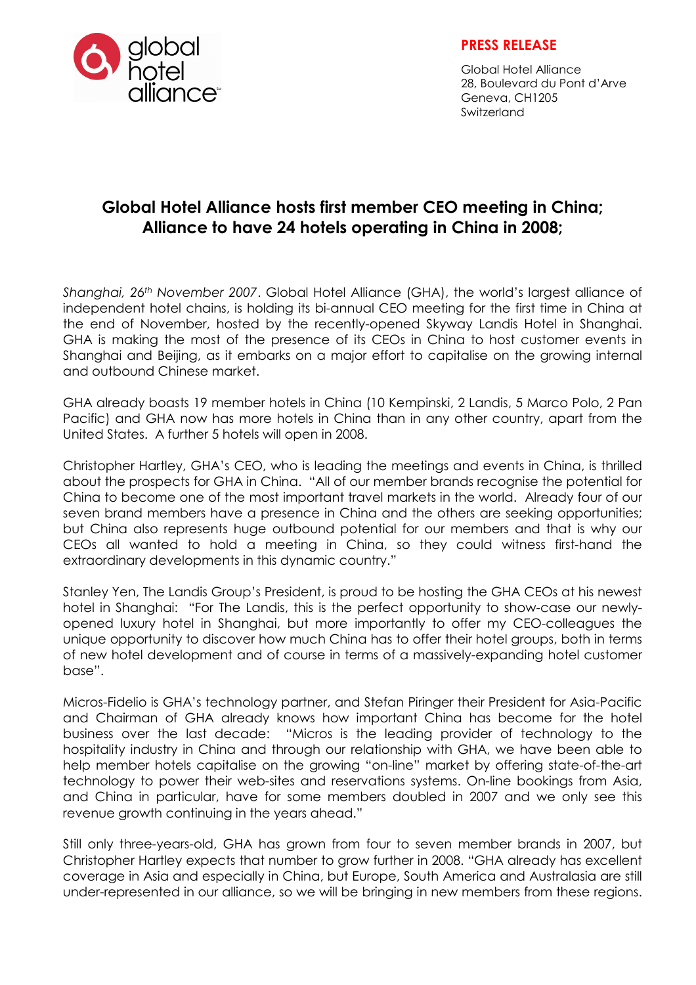

## PRESS RELEASE

Global Hotel Alliance 28, Boulevard du Pont d'Arve Geneva, CH1205 Switzerland

## Global Hotel Alliance hosts first member CEO meeting in China; Alliance to have 24 hotels operating in China in 2008;

Shanghai, 26<sup>th</sup> November 2007. Global Hotel Alliance (GHA), the world's largest alliance of independent hotel chains, is holding its bi-annual CEO meeting for the first time in China at the end of November, hosted by the recently-opened Skyway Landis Hotel in Shanghai. GHA is making the most of the presence of its CEOs in China to host customer events in Shanghai and Beijing, as it embarks on a major effort to capitalise on the growing internal and outbound Chinese market.

GHA already boasts 19 member hotels in China (10 Kempinski, 2 Landis, 5 Marco Polo, 2 Pan Pacific) and GHA now has more hotels in China than in any other country, apart from the United States. A further 5 hotels will open in 2008.

Christopher Hartley, GHA's CEO, who is leading the meetings and events in China, is thrilled about the prospects for GHA in China. "All of our member brands recognise the potential for China to become one of the most important travel markets in the world. Already four of our seven brand members have a presence in China and the others are seeking opportunities; but China also represents huge outbound potential for our members and that is why our CEOs all wanted to hold a meeting in China, so they could witness first-hand the extraordinary developments in this dynamic country."

Stanley Yen, The Landis Group's President, is proud to be hosting the GHA CEOs at his newest hotel in Shanghai: "For The Landis, this is the perfect opportunity to show-case our newlyopened luxury hotel in Shanghai, but more importantly to offer my CEO-colleagues the unique opportunity to discover how much China has to offer their hotel groups, both in terms of new hotel development and of course in terms of a massively-expanding hotel customer base".

Micros-Fidelio is GHA's technology partner, and Stefan Piringer their President for Asia-Pacific and Chairman of GHA already knows how important China has become for the hotel business over the last decade: "Micros is the leading provider of technology to the hospitality industry in China and through our relationship with GHA, we have been able to help member hotels capitalise on the growing "on-line" market by offering state-of-the-art technology to power their web-sites and reservations systems. On-line bookings from Asia, and China in particular, have for some members doubled in 2007 and we only see this revenue growth continuing in the years ahead."

Still only three-years-old, GHA has grown from four to seven member brands in 2007, but Christopher Hartley expects that number to grow further in 2008. "GHA already has excellent coverage in Asia and especially in China, but Europe, South America and Australasia are still under-represented in our alliance, so we will be bringing in new members from these regions.